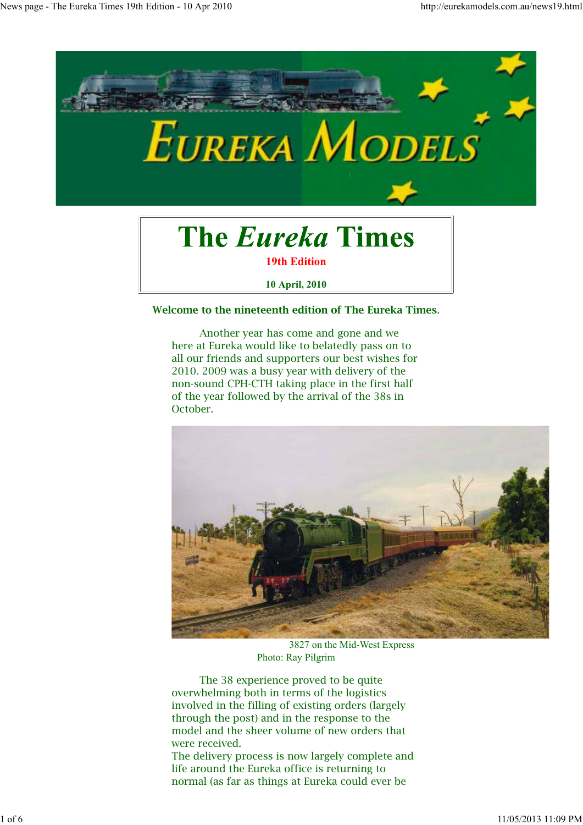

# **The Eureka Times**

**19th Edition**

**10 April, 2010**

#### **Welcome to the nineteenth edition of The Eureka Times**.

 Another year has come and gone and we here at Eureka would like to belatedly pass on to all our friends and supporters our best wishes for 2010. 2009 was a busy year with delivery of the non-sound CPH-CTH taking place in the first half of the year followed by the arrival of the 38s in October.



 3827 on the Mid-West Express Photo: Ray Pilgrim

 The 38 experience proved to be quite overwhelming both in terms of the logistics involved in the filling of existing orders (largely through the post) and in the response to the model and the sheer volume of new orders that were received.

The delivery process is now largely complete and life around the Eureka office is returning to normal (as far as things at Eureka could ever be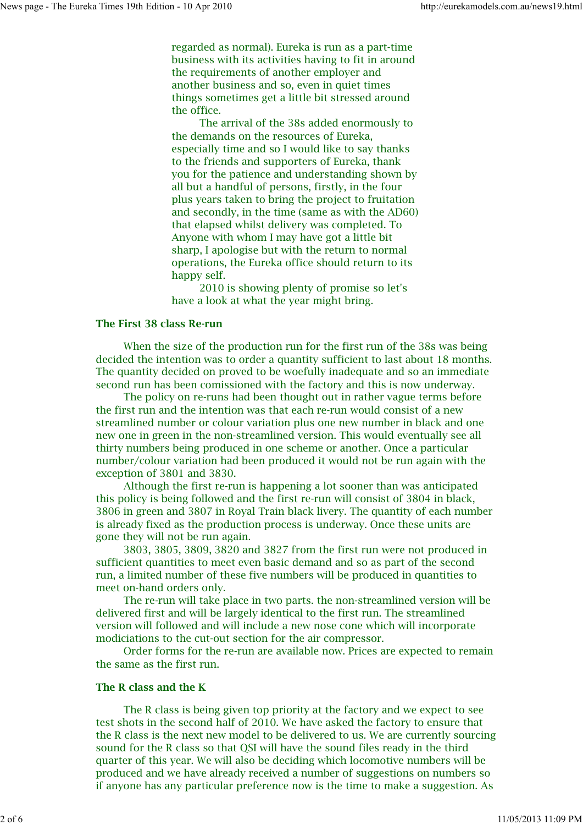regarded as normal). Eureka is run as a part-time business with its activities having to fit in around the requirements of another employer and another business and so, even in quiet times things sometimes get a little bit stressed around the office.

 The arrival of the 38s added enormously to the demands on the resources of Eureka, especially time and so I would like to say thanks to the friends and supporters of Eureka, thank you for the patience and understanding shown by all but a handful of persons, firstly, in the four plus years taken to bring the project to fruitation and secondly, in the time (same as with the AD60) that elapsed whilst delivery was completed. To Anyone with whom I may have got a little bit sharp, I apologise but with the return to normal operations, the Eureka office should return to its happy self.

 2010 is showing plenty of promise so let's have a look at what the year might bring.

#### **The First 38 class Re-run**

 When the size of the production run for the first run of the 38s was being decided the intention was to order a quantity sufficient to last about 18 months. The quantity decided on proved to be woefully inadequate and so an immediate second run has been comissioned with the factory and this is now underway.

 The policy on re-runs had been thought out in rather vague terms before the first run and the intention was that each re-run would consist of a new streamlined number or colour variation plus one new number in black and one new one in green in the non-streamlined version. This would eventually see all thirty numbers being produced in one scheme or another. Once a particular number/colour variation had been produced it would not be run again with the exception of 3801 and 3830.

 Although the first re-run is happening a lot sooner than was anticipated this policy is being followed and the first re-run will consist of 3804 in black, 3806 in green and 3807 in Royal Train black livery. The quantity of each number is already fixed as the production process is underway. Once these units are gone they will not be run again.

 3803, 3805, 3809, 3820 and 3827 from the first run were not produced in sufficient quantities to meet even basic demand and so as part of the second run, a limited number of these five numbers will be produced in quantities to meet on-hand orders only.

 The re-run will take place in two parts. the non-streamlined version will be delivered first and will be largely identical to the first run. The streamlined version will followed and will include a new nose cone which will incorporate modiciations to the cut-out section for the air compressor.

 Order forms for the re-run are available now. Prices are expected to remain the same as the first run.

## **The R class and the K**

 The R class is being given top priority at the factory and we expect to see test shots in the second half of 2010. We have asked the factory to ensure that the R class is the next new model to be delivered to us. We are currently sourcing sound for the R class so that QSI will have the sound files ready in the third quarter of this year. We will also be deciding which locomotive numbers will be produced and we have already received a number of suggestions on numbers so if anyone has any particular preference now is the time to make a suggestion. As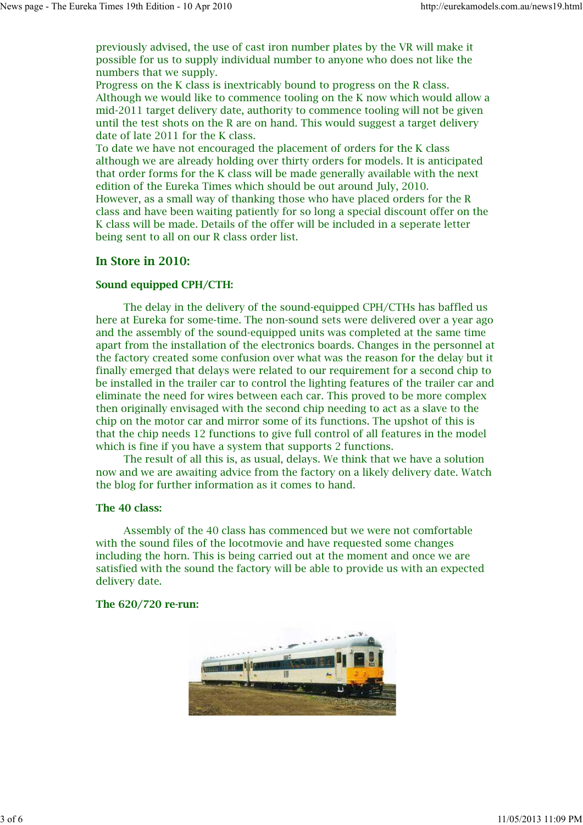previously advised, the use of cast iron number plates by the VR will make it possible for us to supply individual number to anyone who does not like the numbers that we supply.

Progress on the K class is inextricably bound to progress on the R class. Although we would like to commence tooling on the K now which would allow a mid-2011 target delivery date, authority to commence tooling will not be given until the test shots on the R are on hand. This would suggest a target delivery date of late 2011 for the K class.

To date we have not encouraged the placement of orders for the K class although we are already holding over thirty orders for models. It is anticipated that order forms for the K class will be made generally available with the next edition of the Eureka Times which should be out around July, 2010. However, as a small way of thanking those who have placed orders for the R class and have been waiting patiently for so long a special discount offer on the K class will be made. Details of the offer will be included in a seperate letter being sent to all on our R class order list.

# **In Store in 2010:**

## **Sound equipped CPH/CTH:**

 The delay in the delivery of the sound-equipped CPH/CTHs has baffled us here at Eureka for some-time. The non-sound sets were delivered over a year ago and the assembly of the sound-equipped units was completed at the same time apart from the installation of the electronics boards. Changes in the personnel at the factory created some confusion over what was the reason for the delay but it finally emerged that delays were related to our requirement for a second chip to be installed in the trailer car to control the lighting features of the trailer car and eliminate the need for wires between each car. This proved to be more complex then originally envisaged with the second chip needing to act as a slave to the chip on the motor car and mirror some of its functions. The upshot of this is that the chip needs 12 functions to give full control of all features in the model which is fine if you have a system that supports 2 functions.

 The result of all this is, as usual, delays. We think that we have a solution now and we are awaiting advice from the factory on a likely delivery date. Watch the blog for further information as it comes to hand.

## **The 40 class:**

 Assembly of the 40 class has commenced but we were not comfortable with the sound files of the locotmovie and have requested some changes including the horn. This is being carried out at the moment and once we are satisfied with the sound the factory will be able to provide us with an expected delivery date.

#### **The 620/720 re-run:**

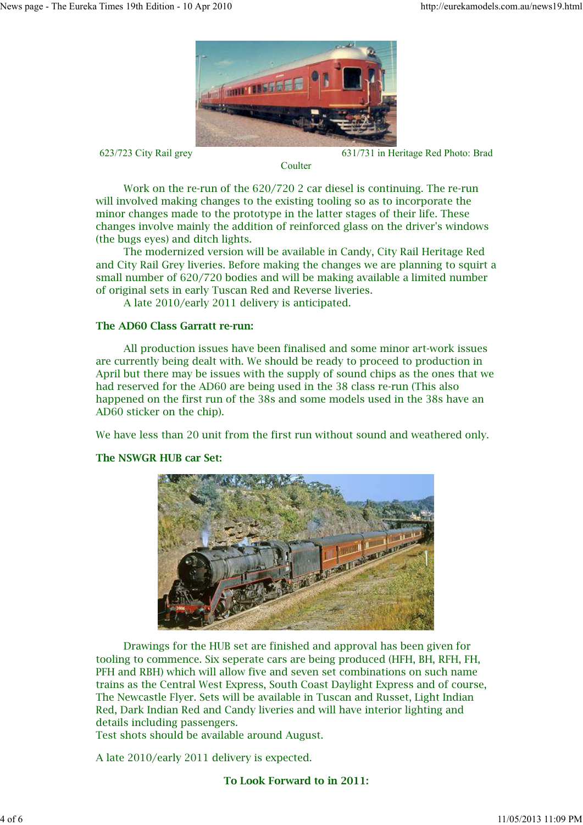

623/723 City Rail grey 631/731 in Heritage Red Photo: Brad

 Work on the re-run of the 620/720 2 car diesel is continuing. The re-run will involved making changes to the existing tooling so as to incorporate the minor changes made to the prototype in the latter stages of their life. These changes involve mainly the addition of reinforced glass on the driver's windows (the bugs eyes) and ditch lights.

**Coulter** 

 The modernized version will be available in Candy, City Rail Heritage Red and City Rail Grey liveries. Before making the changes we are planning to squirt a small number of 620/720 bodies and will be making available a limited number of original sets in early Tuscan Red and Reverse liveries.

A late 2010/early 2011 delivery is anticipated.

# **The AD60 Class Garratt re-run:**

 All production issues have been finalised and some minor art-work issues are currently being dealt with. We should be ready to proceed to production in April but there may be issues with the supply of sound chips as the ones that we had reserved for the AD60 are being used in the 38 class re-run (This also happened on the first run of the 38s and some models used in the 38s have an AD60 sticker on the chip).

We have less than 20 unit from the first run without sound and weathered only.



## **The NSWGR HUB car Set:**

 Drawings for the HUB set are finished and approval has been given for tooling to commence. Six seperate cars are being produced (HFH, BH, RFH, FH, PFH and RBH) which will allow five and seven set combinations on such name trains as the Central West Express, South Coast Daylight Express and of course, The Newcastle Flyer. Sets will be available in Tuscan and Russet, Light Indian Red, Dark Indian Red and Candy liveries and will have interior lighting and details including passengers.

Test shots should be available around August.

A late 2010/early 2011 delivery is expected.

**To Look Forward to in 2011:**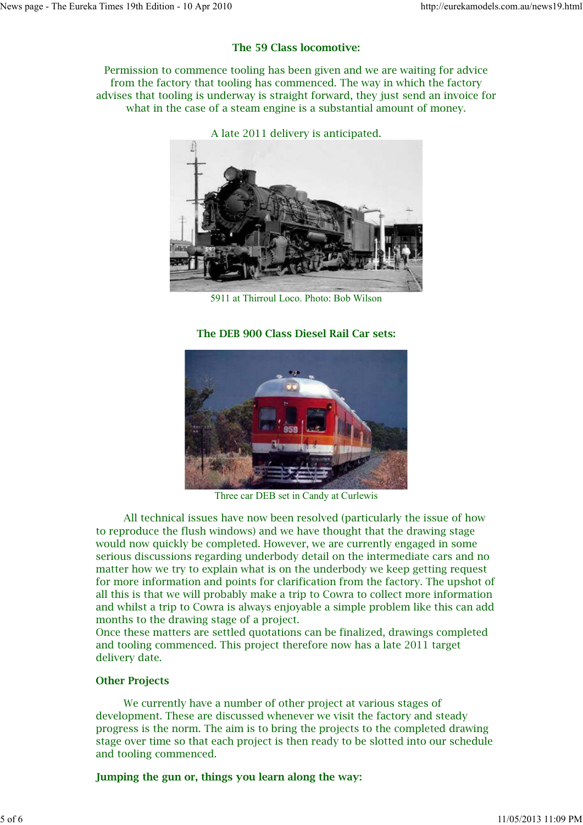# **The 59 Class locomotive:**

Permission to commence tooling has been given and we are waiting for advice from the factory that tooling has commenced. The way in which the factory advises that tooling is underway is straight forward, they just send an invoice for what in the case of a steam engine is a substantial amount of money.



A late 2011 delivery is anticipated.

5911 at Thirroul Loco. Photo: Bob Wilson

# **The DEB 900 Class Diesel Rail Car sets:**



Three car DEB set in Candy at Curlewis

 All technical issues have now been resolved (particularly the issue of how to reproduce the flush windows) and we have thought that the drawing stage would now quickly be completed. However, we are currently engaged in some serious discussions regarding underbody detail on the intermediate cars and no matter how we try to explain what is on the underbody we keep getting request for more information and points for clarification from the factory. The upshot of all this is that we will probably make a trip to Cowra to collect more information and whilst a trip to Cowra is always enjoyable a simple problem like this can add months to the drawing stage of a project.

Once these matters are settled quotations can be finalized, drawings completed and tooling commenced. This project therefore now has a late 2011 target delivery date.

## **Other Projects**

 We currently have a number of other project at various stages of development. These are discussed whenever we visit the factory and steady progress is the norm. The aim is to bring the projects to the completed drawing stage over time so that each project is then ready to be slotted into our schedule and tooling commenced.

**Jumping the gun or, things you learn along the way:**